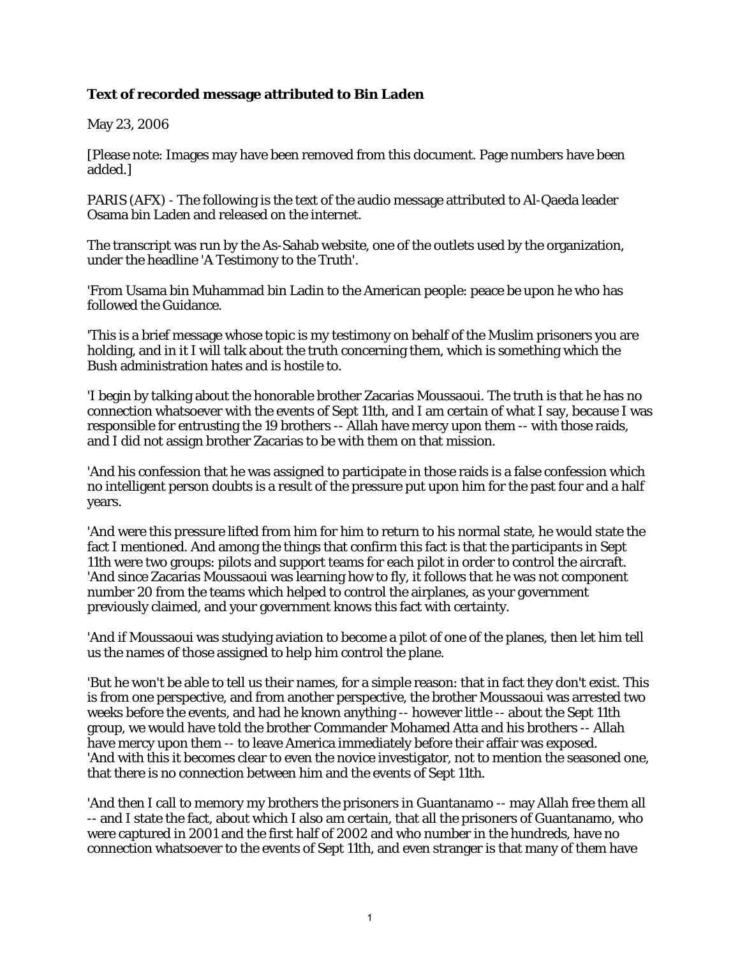## **Text of recorded message attributed to Bin Laden**

May 23, 2006

[Please note: Images may have been removed from this document. Page numbers have been added.]

PARIS (AFX) - The following is the text of the audio message attributed to Al-Qaeda leader Osama bin Laden and released on the internet.

The transcript was run by the As-Sahab website, one of the outlets used by the organization, under the headline 'A Testimony to the Truth'.

'From Usama bin Muhammad bin Ladin to the American people: peace be upon he who has followed the Guidance.

'This is a brief message whose topic is my testimony on behalf of the Muslim prisoners you are holding, and in it I will talk about the truth concerning them, which is something which the Bush administration hates and is hostile to.

'I begin by talking about the honorable brother Zacarias Moussaoui. The truth is that he has no connection whatsoever with the events of Sept 11th, and I am certain of what I say, because I was responsible for entrusting the 19 brothers -- Allah have mercy upon them -- with those raids, and I did not assign brother Zacarias to be with them on that mission.

'And his confession that he was assigned to participate in those raids is a false confession which no intelligent person doubts is a result of the pressure put upon him for the past four and a half years.

'And were this pressure lifted from him for him to return to his normal state, he would state the fact I mentioned. And among the things that confirm this fact is that the participants in Sept 11th were two groups: pilots and support teams for each pilot in order to control the aircraft. 'And since Zacarias Moussaoui was learning how to fly, it follows that he was not component number 20 from the teams which helped to control the airplanes, as your government previously claimed, and your government knows this fact with certainty.

'And if Moussaoui was studying aviation to become a pilot of one of the planes, then let him tell us the names of those assigned to help him control the plane.

'But he won't be able to tell us their names, for a simple reason: that in fact they don't exist. This is from one perspective, and from another perspective, the brother Moussaoui was arrested two weeks before the events, and had he known anything -- however little -- about the Sept 11th group, we would have told the brother Commander Mohamed Atta and his brothers -- Allah have mercy upon them -- to leave America immediately before their affair was exposed. 'And with this it becomes clear to even the novice investigator, not to mention the seasoned one, that there is no connection between him and the events of Sept 11th.

'And then I call to memory my brothers the prisoners in Guantanamo -- may Allah free them all -- and I state the fact, about which I also am certain, that all the prisoners of Guantanamo, who were captured in 2001 and the first half of 2002 and who number in the hundreds, have no connection whatsoever to the events of Sept 11th, and even stranger is that many of them have